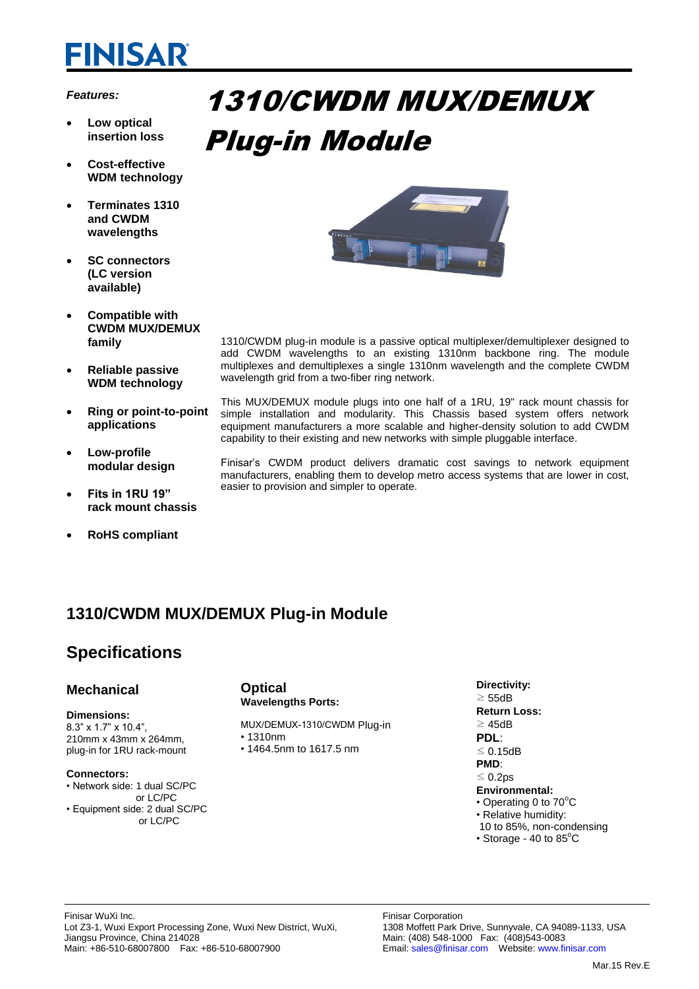# **FINISAR**

## *Features:*

- **Low optical insertion loss**
- **Cost-effective WDM technology**
- **Terminates 1310 and CWDM wavelengths**
- **SC connectors (LC version available)**
- **Compatible with CWDM MUX/DEMUX family**
- **Reliable passive WDM technology**
- **Ring or point-to-point applications**
- **Low-profile modular design**
- **Fits in 1RU 19" rack mount chassis**
- **RoHS compliant**

# 1310/CWDM MUX/DEMUX Plug-in Module



1310/CWDM plug-in module is a passive optical multiplexer/demultiplexer designed to add CWDM wavelengths to an existing 1310nm backbone ring. The module multiplexes and demultiplexes a single 1310nm wavelength and the complete CWDM wavelength grid from a two-fiber ring network.

This MUX/DEMUX module plugs into one half of a 1RU, 19" rack mount chassis for simple installation and modularity. This Chassis based system offers network equipment manufacturers a more scalable and higher-density solution to add CWDM capability to their existing and new networks with simple pluggable interface.

Finisar's CWDM product delivers dramatic cost savings to network equipment manufacturers, enabling them to develop metro access systems that are lower in cost, easier to provision and simpler to operate.

## **1310/CWDM MUX/DEMUX Plug-in Module**

## **Specifications**

## **Mechanical**

#### **Dimensions:**

8.3" x 1.7" x 10.4", 210mm x 43mm x 264mm, plug-in for 1RU rack-mount

### **Connectors:**

- Network side: 1 dual SC/PC
- or LC/PC • Equipment side: 2 dual SC/PC or LC/PC
- **Optical Wavelengths Ports:**
- MUX/DEMUX-1310/CWDM Plug-in • 1310nm
- 1464.5nm to 1617.5 nm

**Directivity:** 

≥ 55dB **Return Loss:**  ≥ 45dB **PDL**: ≤ 0.15dB **PMD**: ≤ 0.2ps **Environmental:** • Operating 0 to  $70^{\circ}$ C • Relative humidity: 10 to 85%, non-condensing

• Storage - 40 to  $85^{\circ}$ C